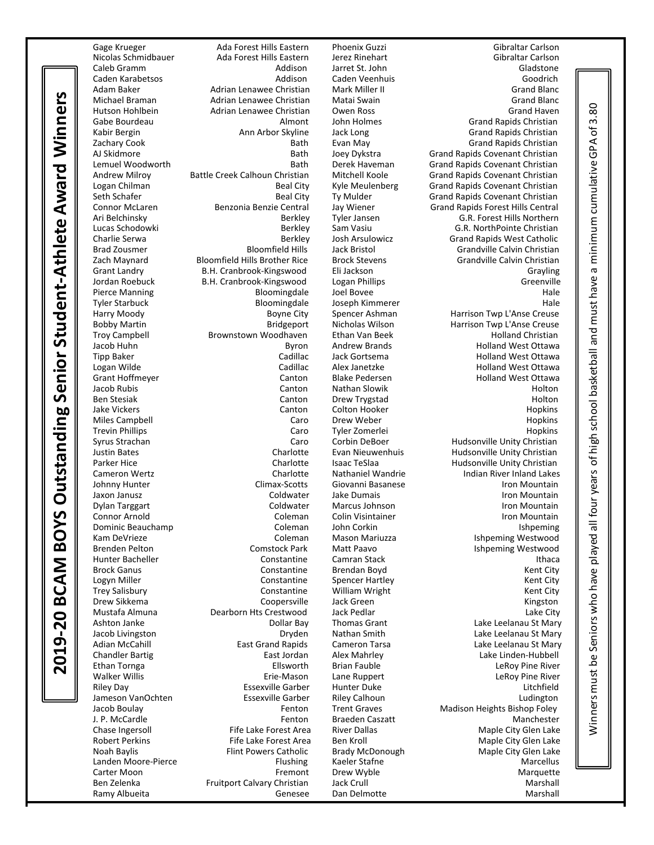Nicolas Schmidbauer Ada Forest Hills Eastern Michael Braman **Adrian Lenawee Christian** Matai Swain Zach Maynard Bloomfield Hills Brother Rice Connor Arnold

B.H. Cranbrook-Kingswood Ramy Albueita **Genese** Dan Delmotte **Marshall** Marshall

Colton Hooker Brendan Boyd

Gage Krueger Ada Forest Hills Eastern Phoenix Guzzi Gibraltar Carlson Caleb Gramm Addison Jarret St. John Gladstone Caden Karabetsos Addison Caden Veenhuis Goodrich Adam Baker **Adrian Lenawee Christian** Mark Miller II Grammer Grand Blanc<br>1970 - Michael Braman Mark Adrian Lenawee Christian Matai Swain Hutson Hohlbein Adrian Lenawee Christian Owen Ross Grand Haven Gabe Bourdeau Almont John Holmes Grand Rapids Christian Ann Arbor Skyline Jack Long Grand Rapids Christian Zachary Cook Bath Evan May Grand Rapids Christian AJ Skidmore **Bath Joey Dykstra** Grand Rapids Covenant Christian Covenant Christian<br>Bath Derek Haveman Grand Rapids Covenant Christian Grand Rapids Covenant Christian Andrew Milroy Battle Creek Calhoun Christian Mitchell Koole Grand Rapids Covenant Christian Logan Chilman Beal City Kyle Meulenberg Grand Rapids Covenant Christian Seth Schafer **Beal City** Ty Mulder Grand Rapids Covenant Christian Covenant Christian Connor McLaren **Benzonia Benzie Central** Jay Wiener Grand Rapids Forest Hills Central Central Central Central Central Central Central Central Central Central Central Central Central Central Central Central Central Central Ari Belchinsky Berkley Tyler Jansen G.R. Forest Hills Northern Berkley Sam Vasiu G.R. NorthPointe Christian Charlie Serwa **Berkley Berkley Josh Arsulowicz** Grand Rapids West Catholic Brad Zousmer Bloomfield Hills Jack Bristol Grandville Calvin Christian Grant Landry B.H. Cranbrook-Kingswood Eli Jackson Grayling Pierce Manning **Bloomingdale** Joel Bovee **Hale** Hale Tyler Starbuck Bloomingdale Joseph Kimmerer Hale Harry Moody Boyne City Spencer Ashman Harrison Twp L'Anse Creuse Bobby Martin Bridgeport Nicholas Wilson Harrison Twp L'Anse Creuse Troy Campbell **Brownstown Woodhaven** Ethan Van Beek Holland Christian Jacob Huhn **Byron** Byron Andrew Brands Holland West Ottawa Tipp Baker Cadillac Jack Gortsema Holland West Ottawa Logan Wilde Cannel Cadillac Alex Janetzke Communist Cadillach Alex Janetzke Chamber Chamber Holland West Ottawa<br>Cannel Canton Canton Blake Pedersen Chamber Holland West Ottawa Canton Blake Pedersen Holland West Ottawa Jacob Rubis Canton Nathan Slowik Holton Ben Stesiak Canton Drew Trygstad Holton Miles Campbell Caro Drew Weber Hopkins Trevin Phillips **Caro** Caro Tyler Zomerlei **Caro Caro Tyler Zomerlei** Hopkins Syrus Strachan Caro Caro Corbin DeBoer Hudsonville Unity Christian Caro Corbin DeBoer Hudsonville Unity Christian<br>
Lustin Bates Christian Charlotte Evan Nieuwenhuis Hudsonville Unity Christian Justin Bates Charlotte Evan Nieuwenhuis Hudsonville Unity Christian Parker Hice Charlotte Isaac TeSlaa Hudsonville Unity Christian<br>Cameron Wertz Charlotte Nathaniel Wandrie Mandring Indian River Inland Lakes Indian River Inland Lakes Johnny Hunter Climax-Scotts Giovanni Basanese Iron Mountain Jaxon Janusz **Coldwater** Jake Dumais **Iron Mountain** Iron Mountain Dylan Targgart **School Coldwater Marcus Johnson** Marcus Johnson Coldwater Iron Mountain<br>Connor Arnold Coleman Colin Visintainer Connor Arnold Iron Mountain Dominic Beauchamp **Coleman** John Corkin **Ishpeming** Ishpeming Kam DeVrieze **Coleman** Mason Mariuzza **Ishpeming Westwood** Coleman Mason Mariuzza Brenden Pelton **Comstock Park** Matt Paavo **Ishpeming Westwood** Hunter Bacheller Constantine Camran Stack Ithaca Logyn Miller **Constantine** Spencer Hartley Constantine Spencer Hartley Constantine City Trey Salisbury **Constantine** William Wright Kent City Drew Sikkema Coopersville Jack Green Kingston Mustafa Almuna Dearborn Hts Crestwood Jack Pedlar Lake City Ashton Janke Dollar Bay Thomas Grant Lake Leelanau St Mary Jacob Livingston Dryden Nathan Smith Lake Leelanau St Mary Adian McCahill **East Grand Rapids** Cameron Tarsa **Lake Leelanau St Mary** Cameron Tarsa Chandler Bartig East Jordan Alex Mahrley Lake Linden-Hubbell Ethan Tornga Ellsworth Brian Fauble LeRoy Pine River Walker Willis **Erie-Mason** Lane Ruppert **LeRoy Pine River** LeRoy Pine River Riley Day **Exsexville Garber Hunter Duke** Litchfield Litchfield Jameson VanOchten Essexville Garber Riley Calhoun Ludington Jacob Boulay Fenton Trent Graves Madison Heights Bishop Foley J. P. McCardle Fenton Braeden Caszatt Manchester Chase Ingersoll **Fife Lake Forest Area** River Dallas **River Dallas** Maple City Glen Lake Robert Perkins **Fife Lake Forest Area** Ben Kroll **Maple City Glen Lake** Forest Area Ben Kroll **Maple City Glen Lake** Noah Baylis Flint Powers Catholic Brady McDonough Maple City Glen Lake<br>Landen Moore-Pierce Flishing Kaeler Stafne Marcellus Flushing Kaeler Stafne Landen Moore-Pierce **Flushing** Kaeler Stafne Marcellus Marcellus Carter Moon **Fremont** Drew Wyble **Carter Moon** Marquette Ben Zelenka **Fruitport Calvary Christian** Jack Crull **Marshall** Marshall

minimum cumulative GPA of 3.80 Winnersmust be Seniors who have played all four years of high school basketball and must have a minimum cumulative GPA of 3.80 $\sigma$ and must have Ninners must be Seniors who have played all four years of high school basketball